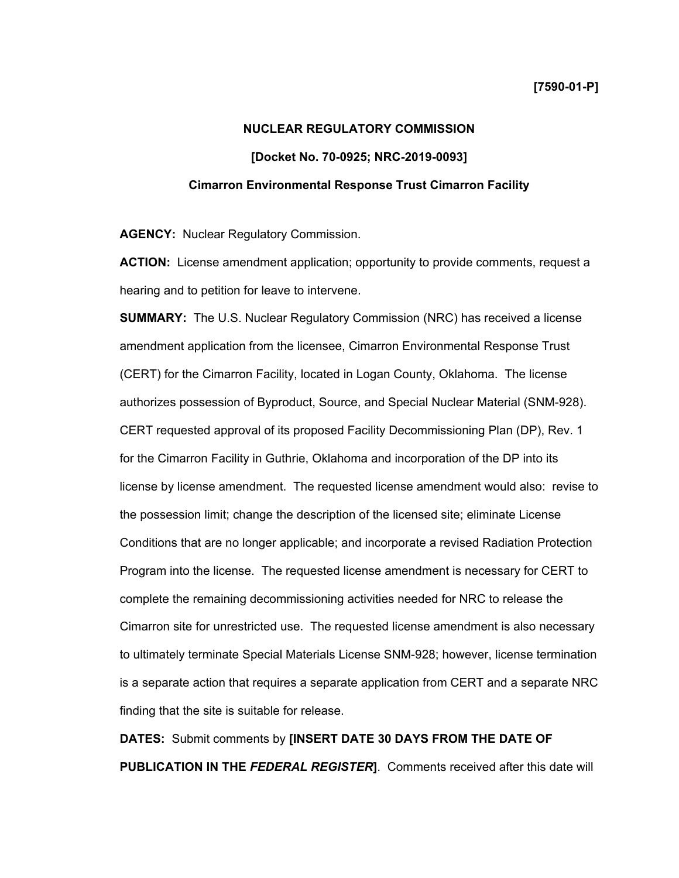# **NUCLEAR REGULATORY COMMISSION [Docket No. 70-0925; NRC-2019-0093] Cimarron Environmental Response Trust Cimarron Facility**

**AGENCY:** Nuclear Regulatory Commission.

**ACTION:** License amendment application; opportunity to provide comments, request a hearing and to petition for leave to intervene.

**SUMMARY:** The U.S. Nuclear Regulatory Commission (NRC) has received a license amendment application from the licensee, Cimarron Environmental Response Trust (CERT) for the Cimarron Facility, located in Logan County, Oklahoma. The license authorizes possession of Byproduct, Source, and Special Nuclear Material (SNM-928). CERT requested approval of its proposed Facility Decommissioning Plan (DP), Rev. 1 for the Cimarron Facility in Guthrie, Oklahoma and incorporation of the DP into its license by license amendment. The requested license amendment would also: revise to the possession limit; change the description of the licensed site; eliminate License Conditions that are no longer applicable; and incorporate a revised Radiation Protection Program into the license. The requested license amendment is necessary for CERT to complete the remaining decommissioning activities needed for NRC to release the Cimarron site for unrestricted use. The requested license amendment is also necessary to ultimately terminate Special Materials License SNM-928; however, license termination is a separate action that requires a separate application from CERT and a separate NRC finding that the site is suitable for release.

**DATES:** Submit comments by **[INSERT DATE 30 DAYS FROM THE DATE OF PUBLICATION IN THE** *FEDERAL REGISTER***]**. Comments received after this date will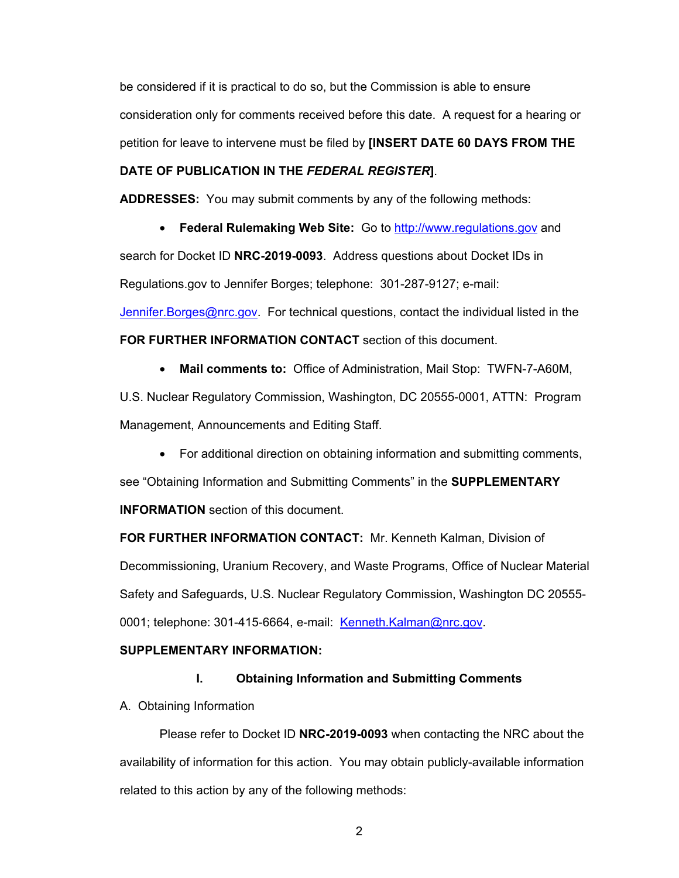be considered if it is practical to do so, but the Commission is able to ensure consideration only for comments received before this date. A request for a hearing or petition for leave to intervene must be filed by **[INSERT DATE 60 DAYS FROM THE** 

# **DATE OF PUBLICATION IN THE** *FEDERAL REGISTER***]**.

**ADDRESSES:** You may submit comments by any of the following methods:

• **Federal Rulemaking Web Site:** Go to http://www.regulations.gov and search for Docket ID **NRC-2019-0093**. Address questions about Docket IDs in Regulations.gov to Jennifer Borges; telephone: 301-287-9127; e-mail: Jennifer.Borges@nrc.gov. For technical questions, contact the individual listed in the **FOR FURTHER INFORMATION CONTACT** section of this document.

• **Mail comments to:** Office of Administration, Mail Stop: TWFN-7-A60M,

U.S. Nuclear Regulatory Commission, Washington, DC 20555-0001, ATTN: Program Management, Announcements and Editing Staff.

• For additional direction on obtaining information and submitting comments,

see "Obtaining Information and Submitting Comments" in the **SUPPLEMENTARY INFORMATION** section of this document.

**FOR FURTHER INFORMATION CONTACT:** Mr. Kenneth Kalman, Division of Decommissioning, Uranium Recovery, and Waste Programs, Office of Nuclear Material Safety and Safeguards, U.S. Nuclear Regulatory Commission, Washington DC 20555- 0001; telephone: 301-415-6664, e-mail: Kenneth.Kalman@nrc.gov.

# **SUPPLEMENTARY INFORMATION:**

# **I. Obtaining Information and Submitting Comments**

A. Obtaining Information

Please refer to Docket ID **NRC-2019-0093** when contacting the NRC about the availability of information for this action. You may obtain publicly-available information related to this action by any of the following methods: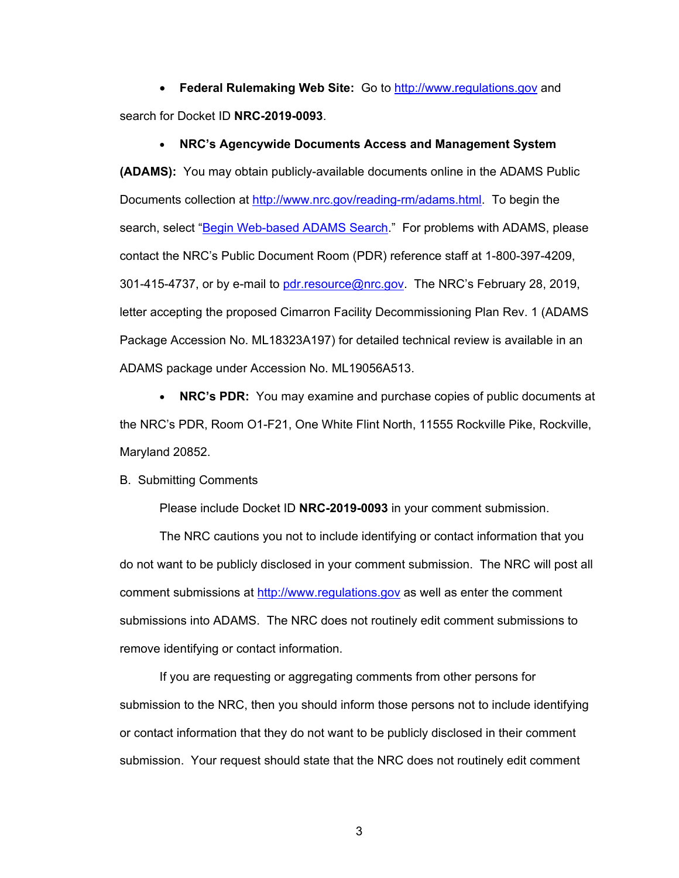• **Federal Rulemaking Web Site:** Go to http://www.regulations.gov and search for Docket ID **NRC-2019-0093**.

#### • **NRC's Agencywide Documents Access and Management System**

**(ADAMS):** You may obtain publicly-available documents online in the ADAMS Public Documents collection at http://www.nrc.gov/reading-rm/adams.html. To begin the search, select "Begin Web-based ADAMS Search." For problems with ADAMS, please contact the NRC's Public Document Room (PDR) reference staff at 1-800-397-4209, 301-415-4737, or by e-mail to pdr.resource@nrc.gov. The NRC's February 28, 2019, letter accepting the proposed Cimarron Facility Decommissioning Plan Rev. 1 (ADAMS Package Accession No. ML18323A197) for detailed technical review is available in an ADAMS package under Accession No. ML19056A513.

• **NRC's PDR:** You may examine and purchase copies of public documents at the NRC's PDR, Room O1-F21, One White Flint North, 11555 Rockville Pike, Rockville, Maryland 20852.

## B. Submitting Comments

Please include Docket ID **NRC-2019-0093** in your comment submission.

The NRC cautions you not to include identifying or contact information that you do not want to be publicly disclosed in your comment submission. The NRC will post all comment submissions at http://www.regulations.gov as well as enter the comment submissions into ADAMS. The NRC does not routinely edit comment submissions to remove identifying or contact information.

If you are requesting or aggregating comments from other persons for submission to the NRC, then you should inform those persons not to include identifying or contact information that they do not want to be publicly disclosed in their comment submission. Your request should state that the NRC does not routinely edit comment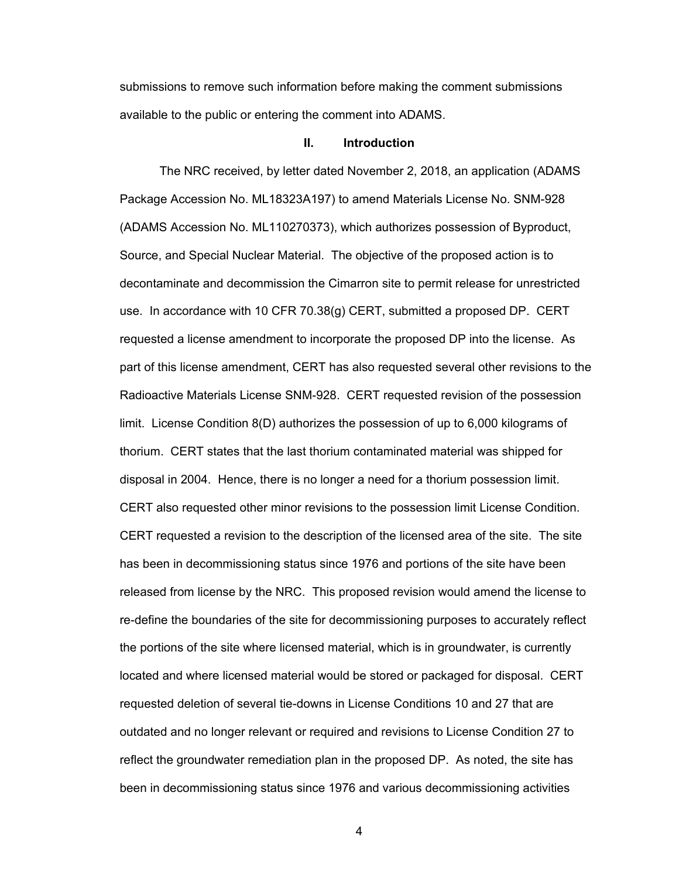submissions to remove such information before making the comment submissions available to the public or entering the comment into ADAMS.

#### **II. Introduction**

The NRC received, by letter dated November 2, 2018, an application (ADAMS Package Accession No. ML18323A197) to amend Materials License No. SNM-928 (ADAMS Accession No. ML110270373), which authorizes possession of Byproduct, Source, and Special Nuclear Material. The objective of the proposed action is to decontaminate and decommission the Cimarron site to permit release for unrestricted use. In accordance with 10 CFR 70.38(g) CERT, submitted a proposed DP. CERT requested a license amendment to incorporate the proposed DP into the license. As part of this license amendment, CERT has also requested several other revisions to the Radioactive Materials License SNM-928. CERT requested revision of the possession limit. License Condition 8(D) authorizes the possession of up to 6,000 kilograms of thorium. CERT states that the last thorium contaminated material was shipped for disposal in 2004. Hence, there is no longer a need for a thorium possession limit. CERT also requested other minor revisions to the possession limit License Condition. CERT requested a revision to the description of the licensed area of the site. The site has been in decommissioning status since 1976 and portions of the site have been released from license by the NRC. This proposed revision would amend the license to re-define the boundaries of the site for decommissioning purposes to accurately reflect the portions of the site where licensed material, which is in groundwater, is currently located and where licensed material would be stored or packaged for disposal. CERT requested deletion of several tie-downs in License Conditions 10 and 27 that are outdated and no longer relevant or required and revisions to License Condition 27 to reflect the groundwater remediation plan in the proposed DP. As noted, the site has been in decommissioning status since 1976 and various decommissioning activities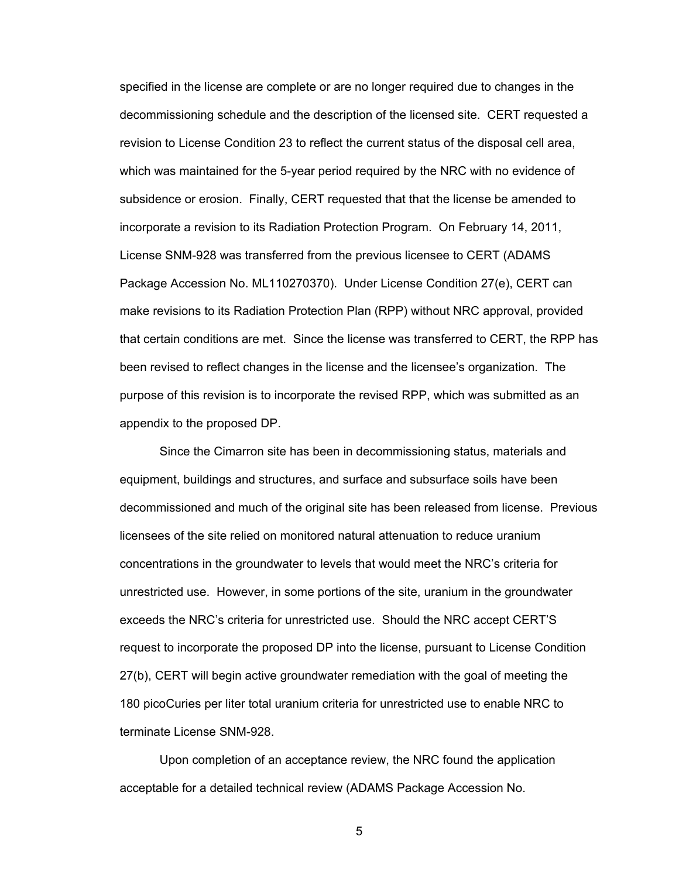specified in the license are complete or are no longer required due to changes in the decommissioning schedule and the description of the licensed site. CERT requested a revision to License Condition 23 to reflect the current status of the disposal cell area, which was maintained for the 5-year period required by the NRC with no evidence of subsidence or erosion. Finally, CERT requested that that the license be amended to incorporate a revision to its Radiation Protection Program. On February 14, 2011, License SNM-928 was transferred from the previous licensee to CERT (ADAMS Package Accession No. ML110270370). Under License Condition 27(e), CERT can make revisions to its Radiation Protection Plan (RPP) without NRC approval, provided that certain conditions are met. Since the license was transferred to CERT, the RPP has been revised to reflect changes in the license and the licensee's organization. The purpose of this revision is to incorporate the revised RPP, which was submitted as an appendix to the proposed DP.

 Since the Cimarron site has been in decommissioning status, materials and equipment, buildings and structures, and surface and subsurface soils have been decommissioned and much of the original site has been released from license. Previous licensees of the site relied on monitored natural attenuation to reduce uranium concentrations in the groundwater to levels that would meet the NRC's criteria for unrestricted use. However, in some portions of the site, uranium in the groundwater exceeds the NRC's criteria for unrestricted use. Should the NRC accept CERT'S request to incorporate the proposed DP into the license, pursuant to License Condition 27(b), CERT will begin active groundwater remediation with the goal of meeting the 180 picoCuries per liter total uranium criteria for unrestricted use to enable NRC to terminate License SNM-928.

Upon completion of an acceptance review, the NRC found the application acceptable for a detailed technical review (ADAMS Package Accession No.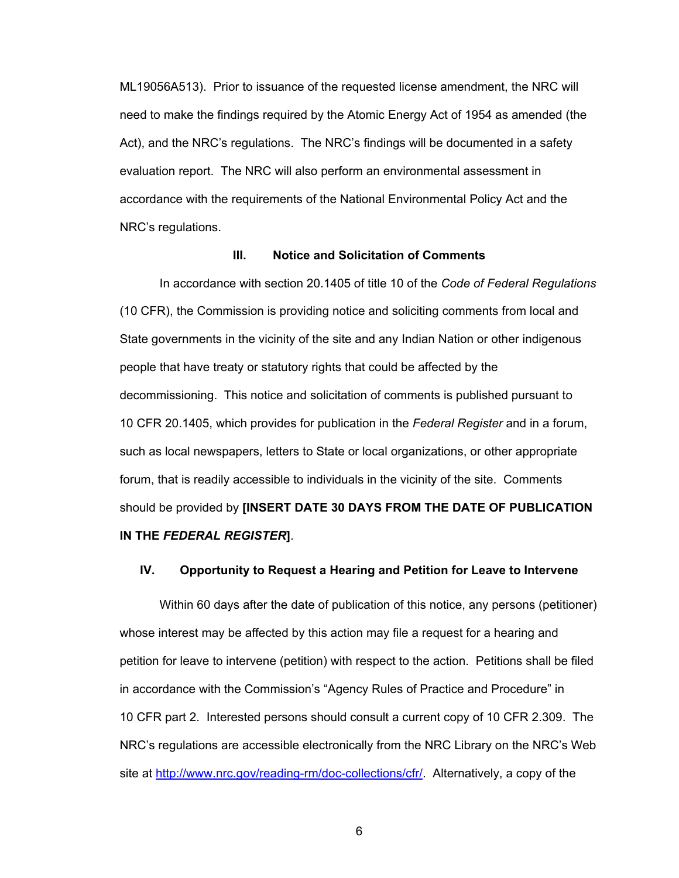ML19056A513). Prior to issuance of the requested license amendment, the NRC will need to make the findings required by the Atomic Energy Act of 1954 as amended (the Act), and the NRC's regulations. The NRC's findings will be documented in a safety evaluation report. The NRC will also perform an environmental assessment in accordance with the requirements of the National Environmental Policy Act and the NRC's regulations.

### **III. Notice and Solicitation of Comments**

 In accordance with section 20.1405 of title 10 of the *Code of Federal Regulations*  (10 CFR), the Commission is providing notice and soliciting comments from local and State governments in the vicinity of the site and any Indian Nation or other indigenous people that have treaty or statutory rights that could be affected by the decommissioning. This notice and solicitation of comments is published pursuant to 10 CFR 20.1405, which provides for publication in the *Federal Register* and in a forum, such as local newspapers, letters to State or local organizations, or other appropriate forum, that is readily accessible to individuals in the vicinity of the site. Comments should be provided by **[INSERT DATE 30 DAYS FROM THE DATE OF PUBLICATION IN THE** *FEDERAL REGISTER***]**.

# **IV. Opportunity to Request a Hearing and Petition for Leave to Intervene**

Within 60 days after the date of publication of this notice, any persons (petitioner) whose interest may be affected by this action may file a request for a hearing and petition for leave to intervene (petition) with respect to the action. Petitions shall be filed in accordance with the Commission's "Agency Rules of Practice and Procedure" in 10 CFR part 2. Interested persons should consult a current copy of 10 CFR 2.309. The NRC's regulations are accessible electronically from the NRC Library on the NRC's Web site at http://www.nrc.gov/reading-rm/doc-collections/cfr/. Alternatively, a copy of the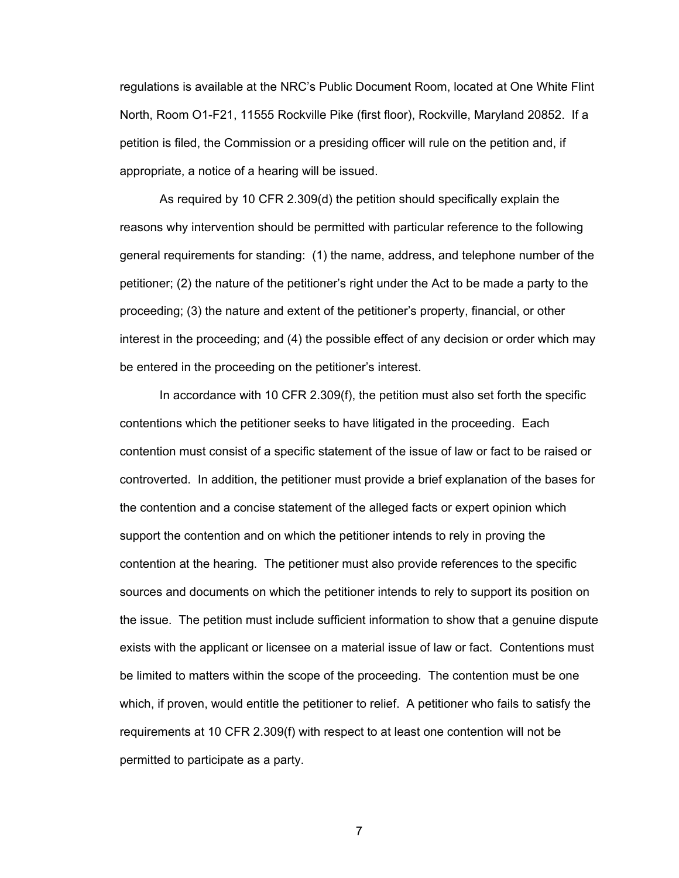regulations is available at the NRC's Public Document Room, located at One White Flint North, Room O1-F21, 11555 Rockville Pike (first floor), Rockville, Maryland 20852. If a petition is filed, the Commission or a presiding officer will rule on the petition and, if appropriate, a notice of a hearing will be issued.

As required by 10 CFR 2.309(d) the petition should specifically explain the reasons why intervention should be permitted with particular reference to the following general requirements for standing: (1) the name, address, and telephone number of the petitioner; (2) the nature of the petitioner's right under the Act to be made a party to the proceeding; (3) the nature and extent of the petitioner's property, financial, or other interest in the proceeding; and (4) the possible effect of any decision or order which may be entered in the proceeding on the petitioner's interest.

In accordance with 10 CFR 2.309(f), the petition must also set forth the specific contentions which the petitioner seeks to have litigated in the proceeding. Each contention must consist of a specific statement of the issue of law or fact to be raised or controverted. In addition, the petitioner must provide a brief explanation of the bases for the contention and a concise statement of the alleged facts or expert opinion which support the contention and on which the petitioner intends to rely in proving the contention at the hearing. The petitioner must also provide references to the specific sources and documents on which the petitioner intends to rely to support its position on the issue. The petition must include sufficient information to show that a genuine dispute exists with the applicant or licensee on a material issue of law or fact. Contentions must be limited to matters within the scope of the proceeding. The contention must be one which, if proven, would entitle the petitioner to relief. A petitioner who fails to satisfy the requirements at 10 CFR 2.309(f) with respect to at least one contention will not be permitted to participate as a party.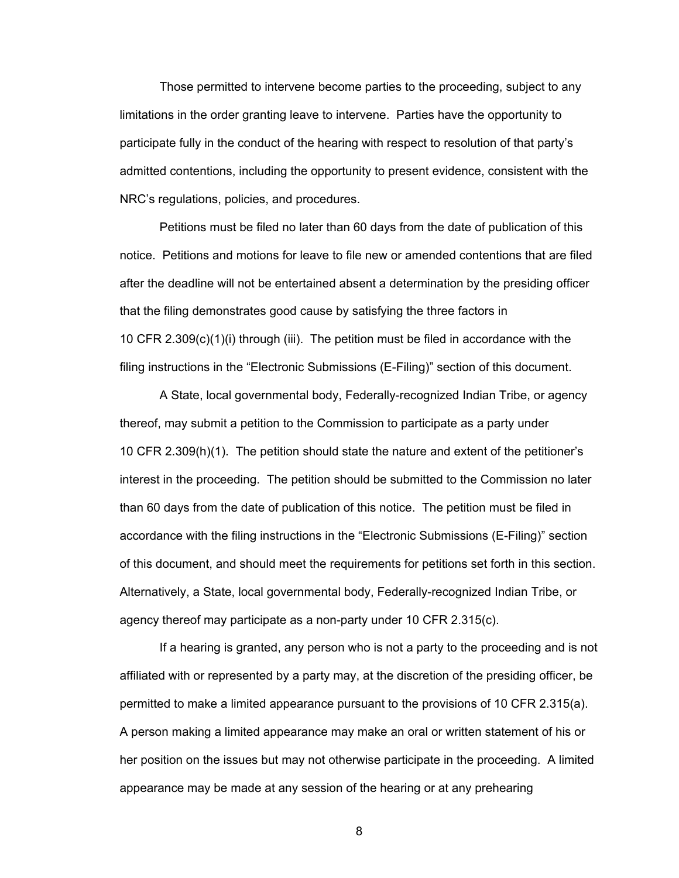Those permitted to intervene become parties to the proceeding, subject to any limitations in the order granting leave to intervene. Parties have the opportunity to participate fully in the conduct of the hearing with respect to resolution of that party's admitted contentions, including the opportunity to present evidence, consistent with the NRC's regulations, policies, and procedures.

Petitions must be filed no later than 60 days from the date of publication of this notice. Petitions and motions for leave to file new or amended contentions that are filed after the deadline will not be entertained absent a determination by the presiding officer that the filing demonstrates good cause by satisfying the three factors in 10 CFR 2.309(c)(1)(i) through (iii). The petition must be filed in accordance with the filing instructions in the "Electronic Submissions (E-Filing)" section of this document.

A State, local governmental body, Federally-recognized Indian Tribe, or agency thereof, may submit a petition to the Commission to participate as a party under 10 CFR 2.309(h)(1). The petition should state the nature and extent of the petitioner's interest in the proceeding. The petition should be submitted to the Commission no later than 60 days from the date of publication of this notice. The petition must be filed in accordance with the filing instructions in the "Electronic Submissions (E-Filing)" section of this document, and should meet the requirements for petitions set forth in this section. Alternatively, a State, local governmental body, Federally-recognized Indian Tribe, or agency thereof may participate as a non-party under 10 CFR 2.315(c).

If a hearing is granted, any person who is not a party to the proceeding and is not affiliated with or represented by a party may, at the discretion of the presiding officer, be permitted to make a limited appearance pursuant to the provisions of 10 CFR 2.315(a). A person making a limited appearance may make an oral or written statement of his or her position on the issues but may not otherwise participate in the proceeding. A limited appearance may be made at any session of the hearing or at any prehearing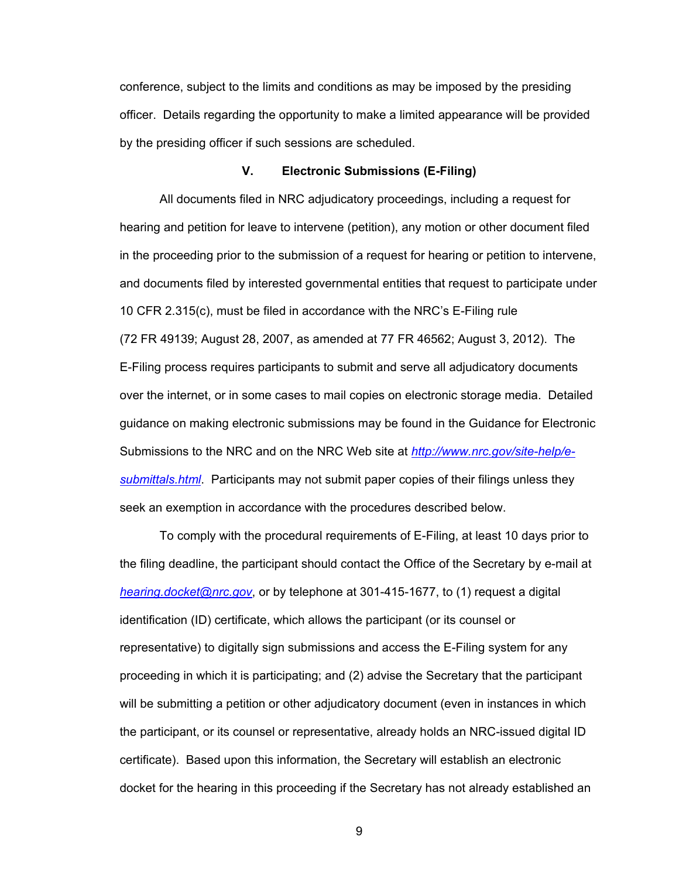conference, subject to the limits and conditions as may be imposed by the presiding officer. Details regarding the opportunity to make a limited appearance will be provided by the presiding officer if such sessions are scheduled.

# **V. Electronic Submissions (E-Filing)**

All documents filed in NRC adjudicatory proceedings, including a request for hearing and petition for leave to intervene (petition), any motion or other document filed in the proceeding prior to the submission of a request for hearing or petition to intervene, and documents filed by interested governmental entities that request to participate under 10 CFR 2.315(c), must be filed in accordance with the NRC's E-Filing rule (72 FR 49139; August 28, 2007, as amended at 77 FR 46562; August 3, 2012). The E-Filing process requires participants to submit and serve all adjudicatory documents over the internet, or in some cases to mail copies on electronic storage media. Detailed guidance on making electronic submissions may be found in the Guidance for Electronic Submissions to the NRC and on the NRC Web site at *http://www.nrc.gov/site-help/esubmittals.html*. Participants may not submit paper copies of their filings unless they seek an exemption in accordance with the procedures described below.

To comply with the procedural requirements of E-Filing, at least 10 days prior to the filing deadline, the participant should contact the Office of the Secretary by e-mail at *hearing.docket@nrc.gov*, or by telephone at 301-415-1677, to (1) request a digital identification (ID) certificate, which allows the participant (or its counsel or representative) to digitally sign submissions and access the E-Filing system for any proceeding in which it is participating; and (2) advise the Secretary that the participant will be submitting a petition or other adjudicatory document (even in instances in which the participant, or its counsel or representative, already holds an NRC-issued digital ID certificate). Based upon this information, the Secretary will establish an electronic docket for the hearing in this proceeding if the Secretary has not already established an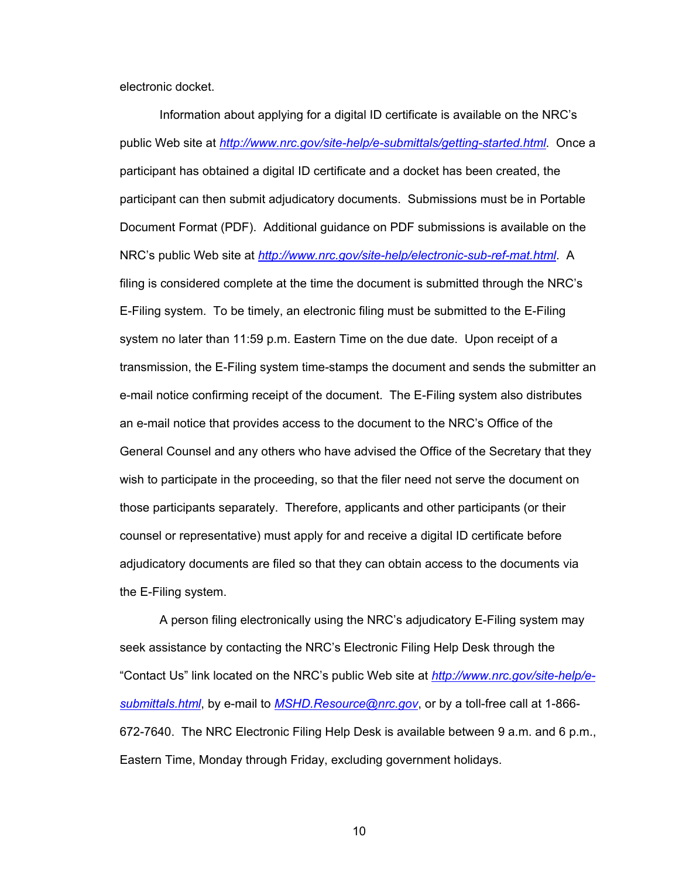electronic docket.

Information about applying for a digital ID certificate is available on the NRC's public Web site at *http://www.nrc.gov/site-help/e-submittals/getting-started.html*. Once a participant has obtained a digital ID certificate and a docket has been created, the participant can then submit adjudicatory documents. Submissions must be in Portable Document Format (PDF). Additional guidance on PDF submissions is available on the NRC's public Web site at *http://www.nrc.gov/site-help/electronic-sub-ref-mat.html*. A filing is considered complete at the time the document is submitted through the NRC's E-Filing system. To be timely, an electronic filing must be submitted to the E-Filing system no later than 11:59 p.m. Eastern Time on the due date. Upon receipt of a transmission, the E-Filing system time-stamps the document and sends the submitter an e-mail notice confirming receipt of the document. The E-Filing system also distributes an e-mail notice that provides access to the document to the NRC's Office of the General Counsel and any others who have advised the Office of the Secretary that they wish to participate in the proceeding, so that the filer need not serve the document on those participants separately. Therefore, applicants and other participants (or their counsel or representative) must apply for and receive a digital ID certificate before adjudicatory documents are filed so that they can obtain access to the documents via the E-Filing system.

A person filing electronically using the NRC's adjudicatory E-Filing system may seek assistance by contacting the NRC's Electronic Filing Help Desk through the "Contact Us" link located on the NRC's public Web site at *http://www.nrc.gov/site-help/esubmittals.html*, by e-mail to *MSHD.Resource@nrc.gov*, or by a toll-free call at 1-866- 672-7640. The NRC Electronic Filing Help Desk is available between 9 a.m. and 6 p.m., Eastern Time, Monday through Friday, excluding government holidays.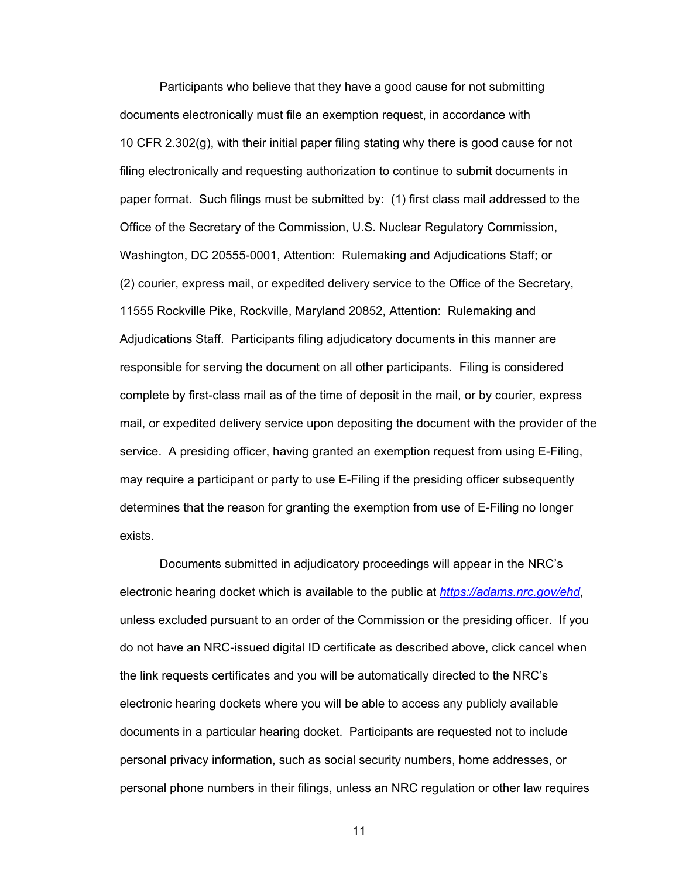Participants who believe that they have a good cause for not submitting documents electronically must file an exemption request, in accordance with 10 CFR 2.302(g), with their initial paper filing stating why there is good cause for not filing electronically and requesting authorization to continue to submit documents in paper format. Such filings must be submitted by: (1) first class mail addressed to the Office of the Secretary of the Commission, U.S. Nuclear Regulatory Commission, Washington, DC 20555-0001, Attention: Rulemaking and Adjudications Staff; or (2) courier, express mail, or expedited delivery service to the Office of the Secretary, 11555 Rockville Pike, Rockville, Maryland 20852, Attention: Rulemaking and Adjudications Staff. Participants filing adjudicatory documents in this manner are responsible for serving the document on all other participants. Filing is considered complete by first-class mail as of the time of deposit in the mail, or by courier, express mail, or expedited delivery service upon depositing the document with the provider of the service. A presiding officer, having granted an exemption request from using E-Filing, may require a participant or party to use E-Filing if the presiding officer subsequently determines that the reason for granting the exemption from use of E-Filing no longer exists.

Documents submitted in adjudicatory proceedings will appear in the NRC's electronic hearing docket which is available to the public at *https://adams.nrc.gov/ehd*, unless excluded pursuant to an order of the Commission or the presiding officer. If you do not have an NRC-issued digital ID certificate as described above, click cancel when the link requests certificates and you will be automatically directed to the NRC's electronic hearing dockets where you will be able to access any publicly available documents in a particular hearing docket. Participants are requested not to include personal privacy information, such as social security numbers, home addresses, or personal phone numbers in their filings, unless an NRC regulation or other law requires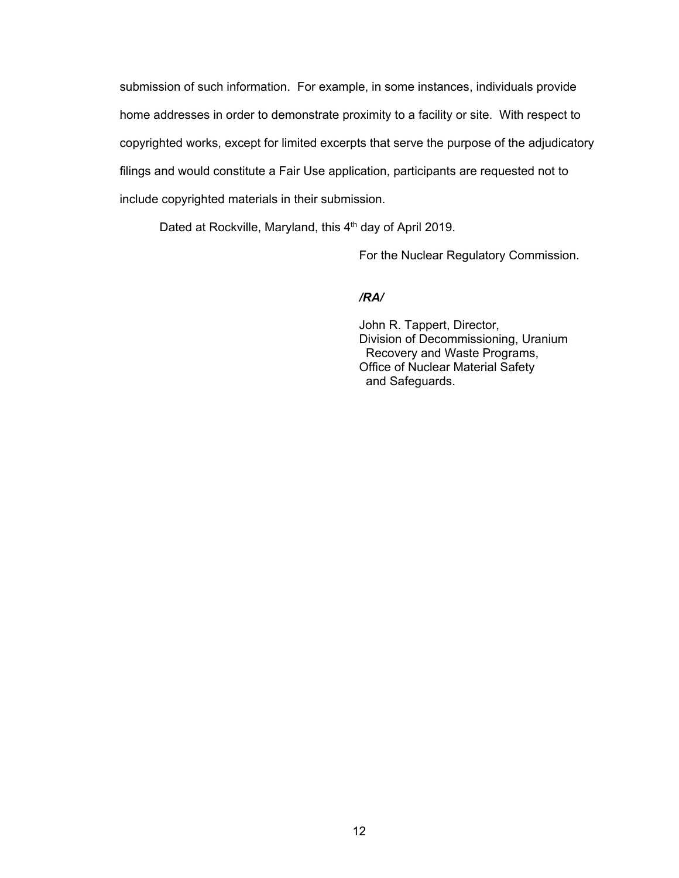submission of such information. For example, in some instances, individuals provide home addresses in order to demonstrate proximity to a facility or site. With respect to copyrighted works, except for limited excerpts that serve the purpose of the adjudicatory filings and would constitute a Fair Use application, participants are requested not to include copyrighted materials in their submission.

Dated at Rockville, Maryland, this 4<sup>th</sup> day of April 2019.

For the Nuclear Regulatory Commission.

*/RA/* 

John R. Tappert, Director, Division of Decommissioning, Uranium Recovery and Waste Programs, Office of Nuclear Material Safety and Safeguards.